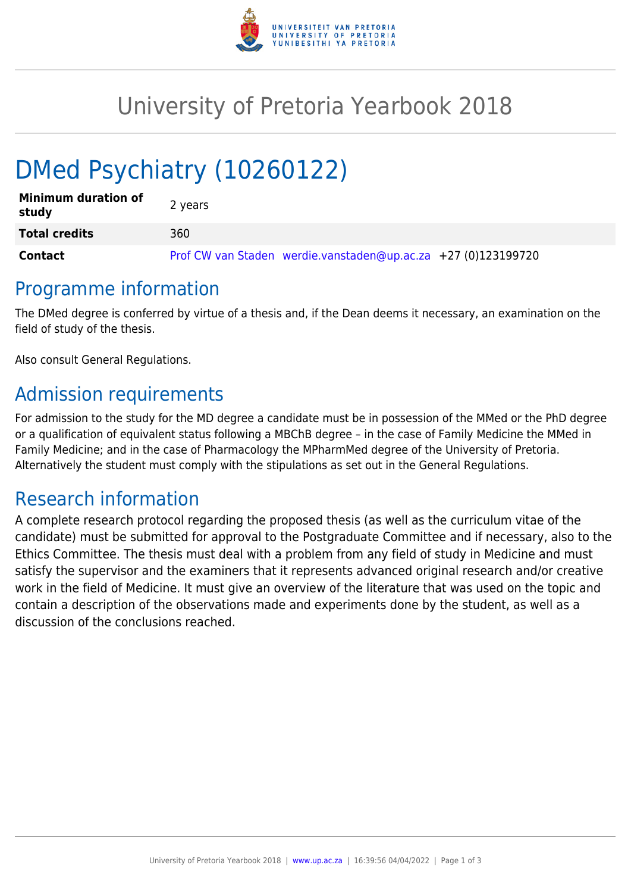

## University of Pretoria Yearbook 2018

# DMed Psychiatry (10260122)

| <b>Minimum duration of</b><br>study | 2 years                                                       |
|-------------------------------------|---------------------------------------------------------------|
| <b>Total credits</b>                | 360                                                           |
| Contact                             | Prof CW van Staden werdie.vanstaden@up.ac.za +27 (0)123199720 |

#### Programme information

The DMed degree is conferred by virtue of a thesis and, if the Dean deems it necessary, an examination on the field of study of the thesis.

Also consult General Regulations.

## Admission requirements

For admission to the study for the MD degree a candidate must be in possession of the MMed or the PhD degree or a qualification of equivalent status following a MBChB degree – in the case of Family Medicine the MMed in Family Medicine; and in the case of Pharmacology the MPharmMed degree of the University of Pretoria. Alternatively the student must comply with the stipulations as set out in the General Regulations.

#### Research information

A complete research protocol regarding the proposed thesis (as well as the curriculum vitae of the candidate) must be submitted for approval to the Postgraduate Committee and if necessary, also to the Ethics Committee. The thesis must deal with a problem from any field of study in Medicine and must satisfy the supervisor and the examiners that it represents advanced original research and/or creative work in the field of Medicine. It must give an overview of the literature that was used on the topic and contain a description of the observations made and experiments done by the student, as well as a discussion of the conclusions reached.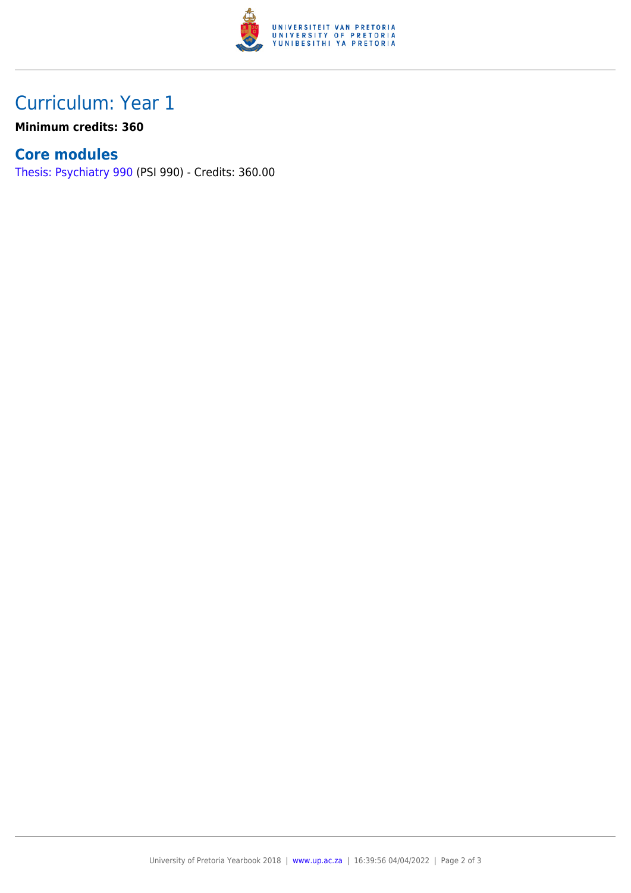

## Curriculum: Year 1

**Minimum credits: 360**

#### **Core modules**

[Thesis: Psychiatry 990](https://www.up.ac.za/yearbooks/2018/modules/view/PSI 990) (PSI 990) - Credits: 360.00